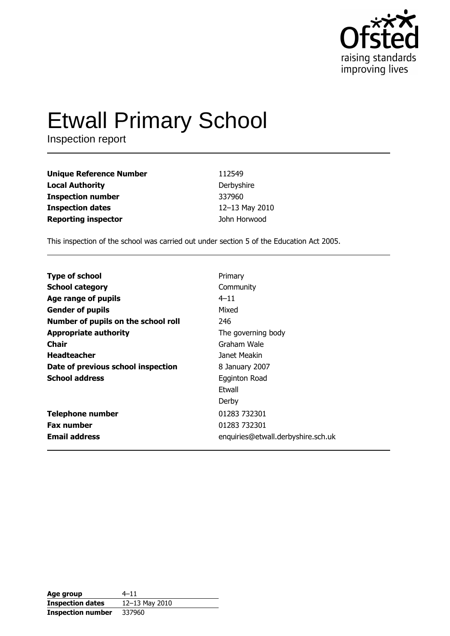

# **Etwall Primary School**

Inspection report

| <b>Unique Reference Number</b> | 112549         |
|--------------------------------|----------------|
| <b>Local Authority</b>         | Derbyshire     |
| <b>Inspection number</b>       | 337960         |
| <b>Inspection dates</b>        | 12-13 May 2010 |
| <b>Reporting inspector</b>     | John Horwood   |

This inspection of the school was carried out under section 5 of the Education Act 2005.

| <b>Type of school</b>               | Primary                            |
|-------------------------------------|------------------------------------|
| <b>School category</b>              | Community                          |
| Age range of pupils                 | $4 - 11$                           |
| <b>Gender of pupils</b>             | Mixed                              |
| Number of pupils on the school roll | 246                                |
| <b>Appropriate authority</b>        | The governing body                 |
| Chair                               | Graham Wale                        |
| <b>Headteacher</b>                  | Janet Meakin                       |
| Date of previous school inspection  | 8 January 2007                     |
| <b>School address</b>               | Egginton Road                      |
|                                     | Ftwall                             |
|                                     | Derby                              |
| <b>Telephone number</b>             | 01283 732301                       |
| <b>Fax number</b>                   | 01283 732301                       |
| <b>Email address</b>                | enquiries@etwall.derbyshire.sch.uk |

| Age group                | $4 - 11$       |
|--------------------------|----------------|
| <b>Inspection dates</b>  | 12-13 May 2010 |
| <b>Inspection number</b> | 337960         |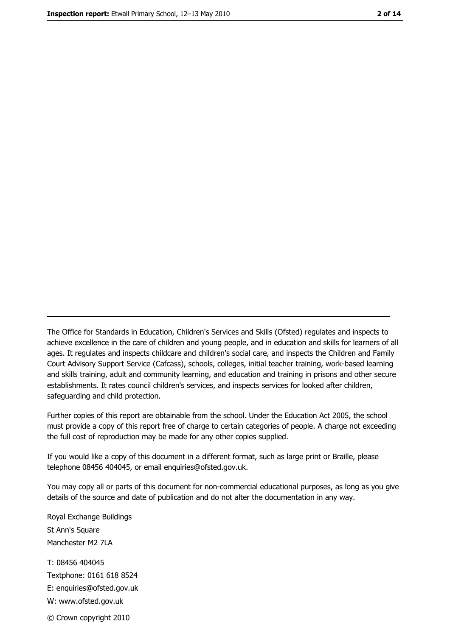The Office for Standards in Education, Children's Services and Skills (Ofsted) regulates and inspects to achieve excellence in the care of children and young people, and in education and skills for learners of all ages. It regulates and inspects childcare and children's social care, and inspects the Children and Family Court Advisory Support Service (Cafcass), schools, colleges, initial teacher training, work-based learning and skills training, adult and community learning, and education and training in prisons and other secure establishments. It rates council children's services, and inspects services for looked after children, safequarding and child protection.

Further copies of this report are obtainable from the school. Under the Education Act 2005, the school must provide a copy of this report free of charge to certain categories of people. A charge not exceeding the full cost of reproduction may be made for any other copies supplied.

If you would like a copy of this document in a different format, such as large print or Braille, please telephone 08456 404045, or email enquiries@ofsted.gov.uk.

You may copy all or parts of this document for non-commercial educational purposes, as long as you give details of the source and date of publication and do not alter the documentation in any way.

Royal Exchange Buildings St Ann's Square Manchester M2 7LA T: 08456 404045 Textphone: 0161 618 8524 E: enquiries@ofsted.gov.uk W: www.ofsted.gov.uk © Crown copyright 2010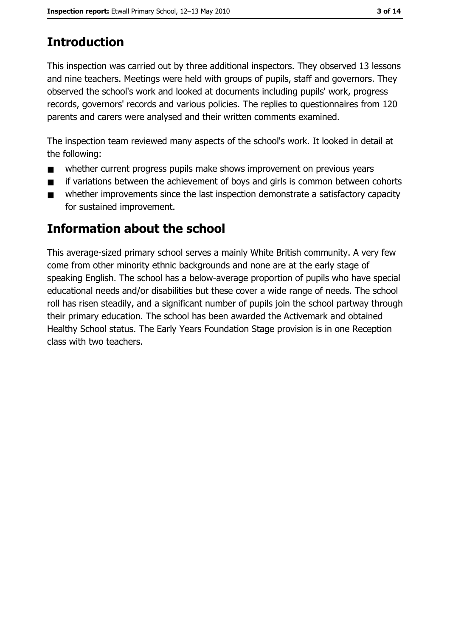# **Introduction**

This inspection was carried out by three additional inspectors. They observed 13 lessons and nine teachers. Meetings were held with groups of pupils, staff and governors. They observed the school's work and looked at documents including pupils' work, progress records, governors' records and various policies. The replies to guestionnaires from 120 parents and carers were analysed and their written comments examined.

The inspection team reviewed many aspects of the school's work. It looked in detail at the following:

- whether current progress pupils make shows improvement on previous years  $\blacksquare$
- if variations between the achievement of boys and girls is common between cohorts  $\blacksquare$
- whether improvements since the last inspection demonstrate a satisfactory capacity  $\blacksquare$ for sustained improvement.

## Information about the school

This average-sized primary school serves a mainly White British community. A very few come from other minority ethnic backgrounds and none are at the early stage of speaking English. The school has a below-average proportion of pupils who have special educational needs and/or disabilities but these cover a wide range of needs. The school roll has risen steadily, and a significant number of pupils join the school partway through their primary education. The school has been awarded the Activemark and obtained Healthy School status. The Early Years Foundation Stage provision is in one Reception class with two teachers.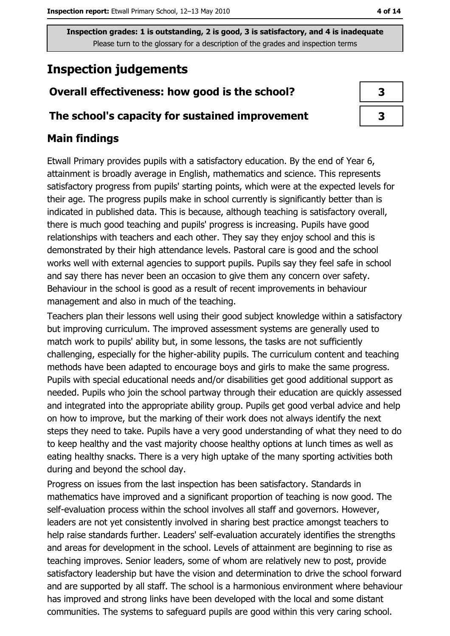# **Inspection judgements**

## Overall effectiveness: how good is the school?

#### The school's capacity for sustained improvement

#### **Main findings**

Etwall Primary provides pupils with a satisfactory education. By the end of Year 6, attainment is broadly average in English, mathematics and science. This represents satisfactory progress from pupils' starting points, which were at the expected levels for their age. The progress pupils make in school currently is significantly better than is indicated in published data. This is because, although teaching is satisfactory overall, there is much good teaching and pupils' progress is increasing. Pupils have good relationships with teachers and each other. They say they enjoy school and this is demonstrated by their high attendance levels. Pastoral care is good and the school works well with external agencies to support pupils. Pupils say they feel safe in school and say there has never been an occasion to give them any concern over safety. Behaviour in the school is good as a result of recent improvements in behaviour management and also in much of the teaching.

Teachers plan their lessons well using their good subject knowledge within a satisfactory but improving curriculum. The improved assessment systems are generally used to match work to pupils' ability but, in some lessons, the tasks are not sufficiently challenging, especially for the higher-ability pupils. The curriculum content and teaching methods have been adapted to encourage boys and girls to make the same progress. Pupils with special educational needs and/or disabilities get good additional support as needed. Pupils who join the school partway through their education are quickly assessed and integrated into the appropriate ability group. Pupils get good verbal advice and help on how to improve, but the marking of their work does not always identify the next steps they need to take. Pupils have a very good understanding of what they need to do to keep healthy and the vast majority choose healthy options at lunch times as well as eating healthy snacks. There is a very high uptake of the many sporting activities both during and beyond the school day.

Progress on issues from the last inspection has been satisfactory. Standards in mathematics have improved and a significant proportion of teaching is now good. The self-evaluation process within the school involves all staff and governors. However, leaders are not yet consistently involved in sharing best practice amongst teachers to help raise standards further. Leaders' self-evaluation accurately identifies the strengths and areas for development in the school. Levels of attainment are beginning to rise as teaching improves. Senior leaders, some of whom are relatively new to post, provide satisfactory leadership but have the vision and determination to drive the school forward and are supported by all staff. The school is a harmonious environment where behaviour has improved and strong links have been developed with the local and some distant communities. The systems to safeguard pupils are good within this very caring school.

| 3 |  |
|---|--|
| 7 |  |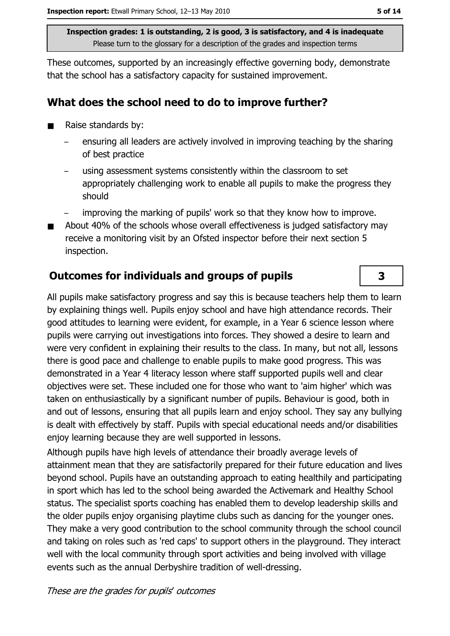These outcomes, supported by an increasingly effective governing body, demonstrate that the school has a satisfactory capacity for sustained improvement.

#### What does the school need to do to improve further?

- Raise standards by:  $\blacksquare$ 
	- ensuring all leaders are actively involved in improving teaching by the sharing of best practice
	- using assessment systems consistently within the classroom to set appropriately challenging work to enable all pupils to make the progress they should
	- improving the marking of pupils' work so that they know how to improve.
- About 40% of the schools whose overall effectiveness is judged satisfactory may  $\blacksquare$ receive a monitoring visit by an Ofsted inspector before their next section 5 inspection.

## **Outcomes for individuals and groups of pupils**

All pupils make satisfactory progress and say this is because teachers help them to learn by explaining things well. Pupils enjoy school and have high attendance records. Their good attitudes to learning were evident, for example, in a Year 6 science lesson where pupils were carrying out investigations into forces. They showed a desire to learn and were very confident in explaining their results to the class. In many, but not all, lessons there is good pace and challenge to enable pupils to make good progress. This was demonstrated in a Year 4 literacy lesson where staff supported pupils well and clear objectives were set. These included one for those who want to 'aim higher' which was taken on enthusiastically by a significant number of pupils. Behaviour is good, both in and out of lessons, ensuring that all pupils learn and enjoy school. They say any bullying is dealt with effectively by staff. Pupils with special educational needs and/or disabilities enjoy learning because they are well supported in lessons.

Although pupils have high levels of attendance their broadly average levels of attainment mean that they are satisfactorily prepared for their future education and lives beyond school. Pupils have an outstanding approach to eating healthily and participating in sport which has led to the school being awarded the Activemark and Healthy School status. The specialist sports coaching has enabled them to develop leadership skills and the older pupils enjoy organising playtime clubs such as dancing for the younger ones. They make a very good contribution to the school community through the school council and taking on roles such as 'red caps' to support others in the playground. They interact well with the local community through sport activities and being involved with village events such as the annual Derbyshire tradition of well-dressing.

These are the grades for pupils' outcomes

3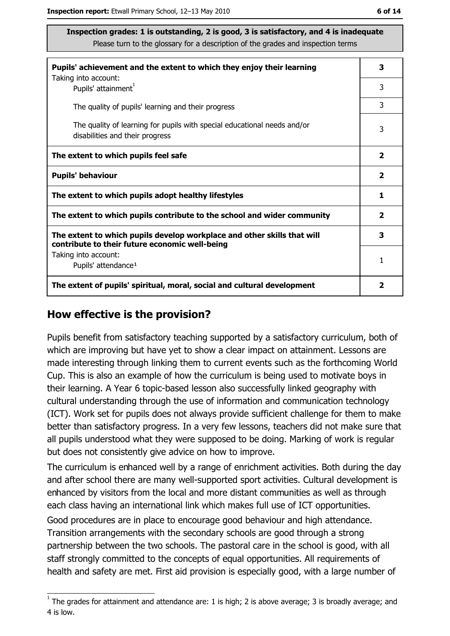| Pupils' achievement and the extent to which they enjoy their learning                                                     |                |  |
|---------------------------------------------------------------------------------------------------------------------------|----------------|--|
| Taking into account:<br>Pupils' attainment <sup>1</sup>                                                                   | 3              |  |
| The quality of pupils' learning and their progress                                                                        | 3              |  |
| The quality of learning for pupils with special educational needs and/or<br>disabilities and their progress               | 3              |  |
| The extent to which pupils feel safe                                                                                      | $\mathbf{2}$   |  |
| <b>Pupils' behaviour</b>                                                                                                  | $\overline{2}$ |  |
| The extent to which pupils adopt healthy lifestyles                                                                       | 1              |  |
| The extent to which pupils contribute to the school and wider community                                                   | $\overline{2}$ |  |
| The extent to which pupils develop workplace and other skills that will<br>contribute to their future economic well-being |                |  |
| Taking into account:<br>Pupils' attendance <sup>1</sup>                                                                   | 1              |  |
| The extent of pupils' spiritual, moral, social and cultural development                                                   | 2              |  |

#### How effective is the provision?

Pupils benefit from satisfactory teaching supported by a satisfactory curriculum, both of which are improving but have yet to show a clear impact on attainment. Lessons are made interesting through linking them to current events such as the forthcoming World Cup. This is also an example of how the curriculum is being used to motivate boys in their learning. A Year 6 topic-based lesson also successfully linked geography with cultural understanding through the use of information and communication technology (ICT). Work set for pupils does not always provide sufficient challenge for them to make better than satisfactory progress. In a very few lessons, teachers did not make sure that all pupils understood what they were supposed to be doing. Marking of work is regular but does not consistently give advice on how to improve.

The curriculum is enhanced well by a range of enrichment activities. Both during the day and after school there are many well-supported sport activities. Cultural development is enhanced by visitors from the local and more distant communities as well as through each class having an international link which makes full use of ICT opportunities.

Good procedures are in place to encourage good behaviour and high attendance. Transition arrangements with the secondary schools are good through a strong partnership between the two schools. The pastoral care in the school is good, with all staff strongly committed to the concepts of equal opportunities. All requirements of health and safety are met. First aid provision is especially good, with a large number of

 $\overline{1}$  The grades for attainment and attendance are: 1 is high; 2 is above average; 3 is broadly average; and 4 is low.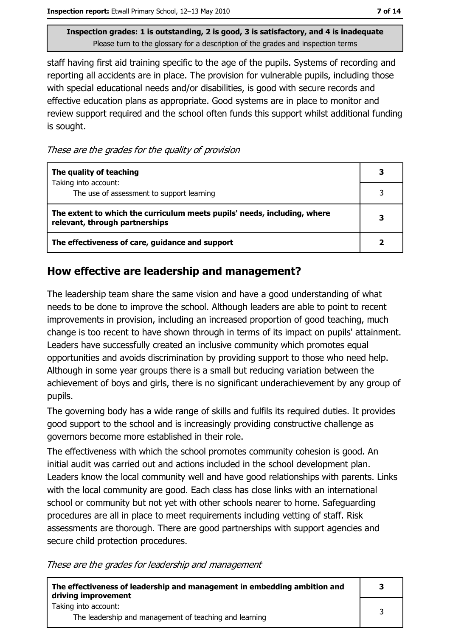staff having first aid training specific to the age of the pupils. Systems of recording and reporting all accidents are in place. The provision for vulnerable pupils, including those with special educational needs and/or disabilities, is good with secure records and effective education plans as appropriate. Good systems are in place to monitor and review support required and the school often funds this support whilst additional funding is sought.

These are the grades for the quality of provision

| The quality of teaching                                                                                    |   |
|------------------------------------------------------------------------------------------------------------|---|
| Taking into account:<br>The use of assessment to support learning                                          |   |
| The extent to which the curriculum meets pupils' needs, including, where<br>relevant, through partnerships | 3 |
| The effectiveness of care, guidance and support                                                            |   |

## How effective are leadership and management?

The leadership team share the same vision and have a good understanding of what needs to be done to improve the school. Although leaders are able to point to recent improvements in provision, including an increased proportion of good teaching, much change is too recent to have shown through in terms of its impact on pupils' attainment. Leaders have successfully created an inclusive community which promotes equal opportunities and avoids discrimination by providing support to those who need help. Although in some year groups there is a small but reducing variation between the achievement of boys and girls, there is no significant underachievement by any group of pupils.

The governing body has a wide range of skills and fulfils its required duties. It provides good support to the school and is increasingly providing constructive challenge as governors become more established in their role.

The effectiveness with which the school promotes community cohesion is good. An initial audit was carried out and actions included in the school development plan. Leaders know the local community well and have good relationships with parents. Links with the local community are good. Each class has close links with an international school or community but not yet with other schools nearer to home. Safeguarding procedures are all in place to meet requirements including vetting of staff. Risk assessments are thorough. There are good partnerships with support agencies and secure child protection procedures.

These are the grades for leadership and management

| The effectiveness of leadership and management in embedding ambition and<br>driving improvement |  |
|-------------------------------------------------------------------------------------------------|--|
| Taking into account:<br>The leadership and management of teaching and learning                  |  |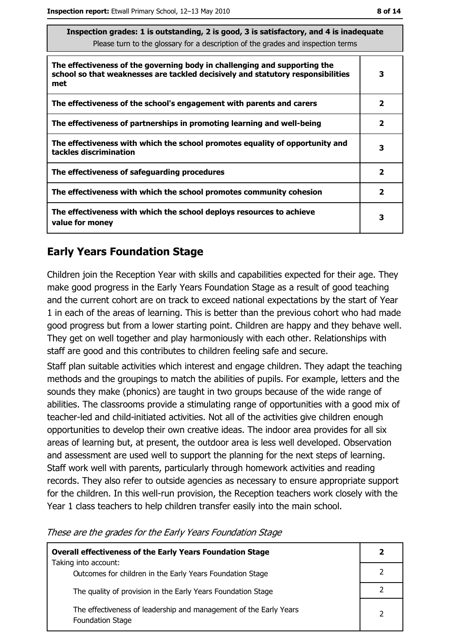| Inspection grades: I is outstanding, 2 is good, 3 is satisfactory, and 4 is inadequate<br>Please turn to the glossary for a description of the grades and inspection terms |                |  |
|----------------------------------------------------------------------------------------------------------------------------------------------------------------------------|----------------|--|
| The effectiveness of the governing body in challenging and supporting the<br>school so that weaknesses are tackled decisively and statutory responsibilities<br>met        | 3              |  |
| The effectiveness of the school's engagement with parents and carers                                                                                                       | $\mathbf{2}$   |  |
| The effectiveness of partnerships in promoting learning and well-being                                                                                                     | $\mathbf{2}$   |  |
| The effectiveness with which the school promotes equality of opportunity and<br>tackles discrimination                                                                     | 3              |  |
| The effectiveness of safeguarding procedures                                                                                                                               | $\overline{2}$ |  |
| The effectiveness with which the school promotes community cohesion                                                                                                        | $\mathbf{2}$   |  |
| The effectiveness with which the school deploys resources to achieve<br>value for money                                                                                    | 3              |  |

#### **Early Years Foundation Stage**

Children join the Reception Year with skills and capabilities expected for their age. They make good progress in the Early Years Foundation Stage as a result of good teaching and the current cohort are on track to exceed national expectations by the start of Year 1 in each of the areas of learning. This is better than the previous cohort who had made good progress but from a lower starting point. Children are happy and they behave well. They get on well together and play harmoniously with each other. Relationships with staff are good and this contributes to children feeling safe and secure.

Staff plan suitable activities which interest and engage children. They adapt the teaching methods and the groupings to match the abilities of pupils. For example, letters and the sounds they make (phonics) are taught in two groups because of the wide range of abilities. The classrooms provide a stimulating range of opportunities with a good mix of teacher-led and child-initiated activities. Not all of the activities give children enough opportunities to develop their own creative ideas. The indoor area provides for all six areas of learning but, at present, the outdoor area is less well developed. Observation and assessment are used well to support the planning for the next steps of learning. Staff work well with parents, particularly through homework activities and reading records. They also refer to outside agencies as necessary to ensure appropriate support for the children. In this well-run provision, the Reception teachers work closely with the Year 1 class teachers to help children transfer easily into the main school.

| nese are are grades for are Larry reals reditions stage                                      |                |
|----------------------------------------------------------------------------------------------|----------------|
| <b>Overall effectiveness of the Early Years Foundation Stage</b><br>Taking into account:     | $\overline{2}$ |
| Outcomes for children in the Early Years Foundation Stage                                    | $\overline{2}$ |
| The quality of provision in the Early Years Foundation Stage                                 | $\overline{2}$ |
| The effectiveness of leadership and management of the Early Years<br><b>Foundation Stage</b> | 2              |
|                                                                                              |                |

These are the grades for the Farly Years Foundation Stage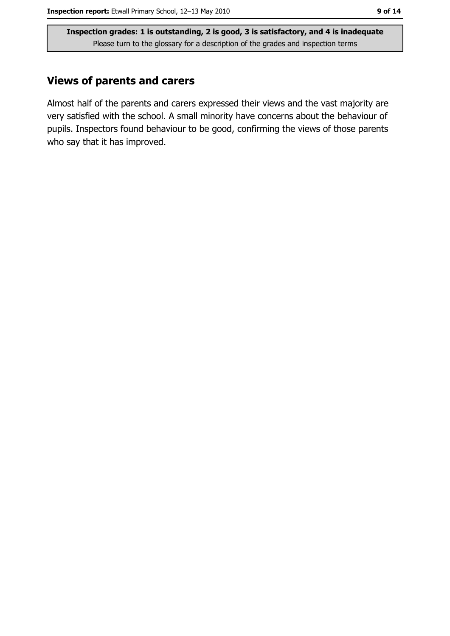#### **Views of parents and carers**

Almost half of the parents and carers expressed their views and the vast majority are very satisfied with the school. A small minority have concerns about the behaviour of pupils. Inspectors found behaviour to be good, confirming the views of those parents who say that it has improved.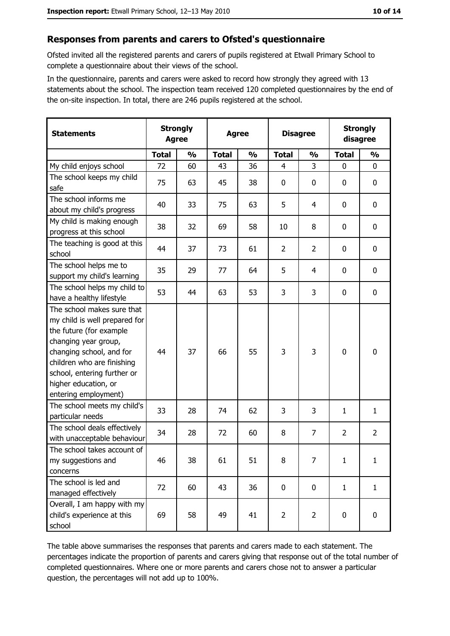#### Responses from parents and carers to Ofsted's questionnaire

Ofsted invited all the registered parents and carers of pupils registered at Etwall Primary School to complete a questionnaire about their views of the school.

In the questionnaire, parents and carers were asked to record how strongly they agreed with 13 statements about the school. The inspection team received 120 completed questionnaires by the end of the on-site inspection. In total, there are 246 pupils registered at the school.

| <b>Statements</b>                                                                                                                                                                                                                                       | <b>Strongly</b><br><b>Agree</b><br><b>Agree</b> |               |              |               | <b>Disagree</b> |                |                |                  | <b>Strongly</b><br>disagree |  |
|---------------------------------------------------------------------------------------------------------------------------------------------------------------------------------------------------------------------------------------------------------|-------------------------------------------------|---------------|--------------|---------------|-----------------|----------------|----------------|------------------|-----------------------------|--|
|                                                                                                                                                                                                                                                         | <b>Total</b>                                    | $\frac{1}{2}$ | <b>Total</b> | $\frac{0}{0}$ | <b>Total</b>    | $\frac{0}{0}$  | <b>Total</b>   | $\frac{0}{0}$    |                             |  |
| My child enjoys school                                                                                                                                                                                                                                  | 72                                              | 60            | 43           | 36            | $\overline{4}$  | 3              | $\mathbf{0}$   | $\mathbf 0$      |                             |  |
| The school keeps my child<br>safe                                                                                                                                                                                                                       | 75                                              | 63            | 45           | 38            | $\mathbf 0$     | 0              | 0              | $\boldsymbol{0}$ |                             |  |
| The school informs me<br>about my child's progress                                                                                                                                                                                                      | 40                                              | 33            | 75           | 63            | 5               | 4              | 0              | 0                |                             |  |
| My child is making enough<br>progress at this school                                                                                                                                                                                                    | 38                                              | 32            | 69           | 58            | 10              | 8              | 0              | $\mathbf 0$      |                             |  |
| The teaching is good at this<br>school                                                                                                                                                                                                                  | 44                                              | 37            | 73           | 61            | $\overline{2}$  | $\overline{2}$ | 0              | $\mathbf 0$      |                             |  |
| The school helps me to<br>support my child's learning                                                                                                                                                                                                   | 35                                              | 29            | 77           | 64            | 5               | 4              | 0              | $\mathbf 0$      |                             |  |
| The school helps my child to<br>have a healthy lifestyle                                                                                                                                                                                                | 53                                              | 44            | 63           | 53            | 3               | 3              | $\mathbf 0$    | $\mathbf 0$      |                             |  |
| The school makes sure that<br>my child is well prepared for<br>the future (for example<br>changing year group,<br>changing school, and for<br>children who are finishing<br>school, entering further or<br>higher education, or<br>entering employment) | 44                                              | 37            | 66           | 55            | 3               | 3              | 0              | $\mathbf 0$      |                             |  |
| The school meets my child's<br>particular needs                                                                                                                                                                                                         | 33                                              | 28            | 74           | 62            | 3               | 3              | 1              | $\mathbf{1}$     |                             |  |
| The school deals effectively<br>with unacceptable behaviour                                                                                                                                                                                             | 34                                              | 28            | 72           | 60            | 8               | $\overline{7}$ | $\overline{2}$ | $\overline{2}$   |                             |  |
| The school takes account of<br>my suggestions and<br>concerns                                                                                                                                                                                           | 46                                              | 38            | 61           | 51            | 8               | 7              | $\mathbf{1}$   | $\mathbf{1}$     |                             |  |
| The school is led and<br>managed effectively                                                                                                                                                                                                            | 72                                              | 60            | 43           | 36            | $\mathbf 0$     | 0              | $\mathbf{1}$   | $\mathbf{1}$     |                             |  |
| Overall, I am happy with my<br>child's experience at this<br>school                                                                                                                                                                                     | 69                                              | 58            | 49           | 41            | $\overline{2}$  | $\overline{2}$ | 0              | $\mathbf 0$      |                             |  |

The table above summarises the responses that parents and carers made to each statement. The percentages indicate the proportion of parents and carers giving that response out of the total number of completed questionnaires. Where one or more parents and carers chose not to answer a particular question, the percentages will not add up to 100%.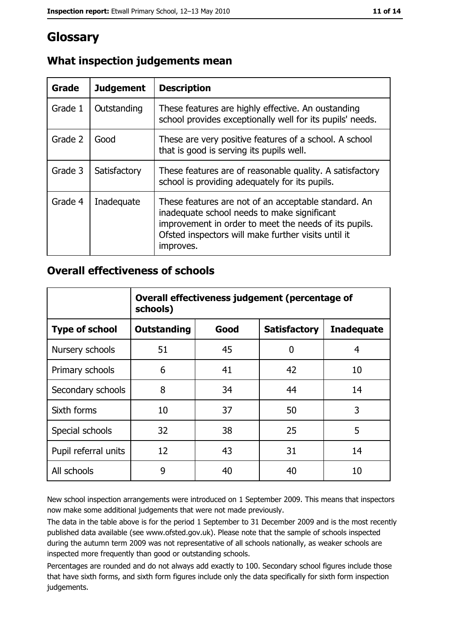# Glossary

| Grade   | <b>Judgement</b> | <b>Description</b>                                                                                                                                                                                                               |
|---------|------------------|----------------------------------------------------------------------------------------------------------------------------------------------------------------------------------------------------------------------------------|
| Grade 1 | Outstanding      | These features are highly effective. An oustanding<br>school provides exceptionally well for its pupils' needs.                                                                                                                  |
| Grade 2 | Good             | These are very positive features of a school. A school<br>that is good is serving its pupils well.                                                                                                                               |
| Grade 3 | Satisfactory     | These features are of reasonable quality. A satisfactory<br>school is providing adequately for its pupils.                                                                                                                       |
| Grade 4 | Inadequate       | These features are not of an acceptable standard. An<br>inadequate school needs to make significant<br>improvement in order to meet the needs of its pupils.<br>Ofsted inspectors will make further visits until it<br>improves. |

## What inspection judgements mean

#### **Overall effectiveness of schools**

|                       | Overall effectiveness judgement (percentage of<br>schools) |      |                     |                   |  |
|-----------------------|------------------------------------------------------------|------|---------------------|-------------------|--|
| <b>Type of school</b> | <b>Outstanding</b>                                         | Good | <b>Satisfactory</b> | <b>Inadequate</b> |  |
| Nursery schools       | 51                                                         | 45   | 0                   | 4                 |  |
| Primary schools       | 6                                                          | 41   | 42                  | 10                |  |
| Secondary schools     | 8                                                          | 34   | 44                  | 14                |  |
| Sixth forms           | 10                                                         | 37   | 50                  | 3                 |  |
| Special schools       | 32                                                         | 38   | 25                  | 5                 |  |
| Pupil referral units  | 12                                                         | 43   | 31                  | 14                |  |
| All schools           | 9                                                          | 40   | 40                  | 10                |  |

New school inspection arrangements were introduced on 1 September 2009. This means that inspectors now make some additional judgements that were not made previously.

The data in the table above is for the period 1 September to 31 December 2009 and is the most recently published data available (see www.ofsted.gov.uk). Please note that the sample of schools inspected during the autumn term 2009 was not representative of all schools nationally, as weaker schools are inspected more frequently than good or outstanding schools.

Percentages are rounded and do not always add exactly to 100. Secondary school figures include those that have sixth forms, and sixth form figures include only the data specifically for sixth form inspection judgements.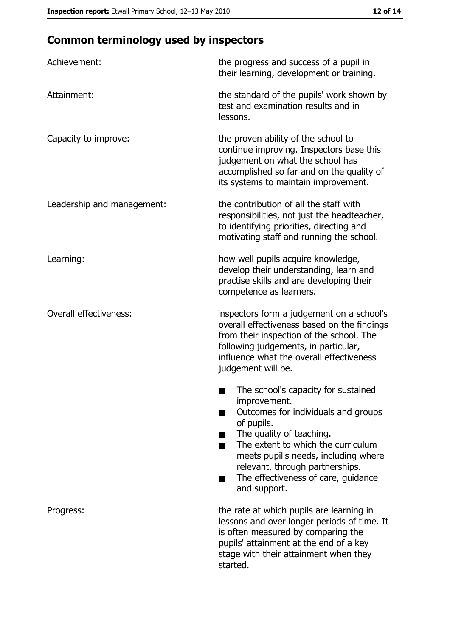# **Common terminology used by inspectors**

| Achievement:                  | the progress and success of a pupil in<br>their learning, development or training.                                                                                                                                                                                                                           |
|-------------------------------|--------------------------------------------------------------------------------------------------------------------------------------------------------------------------------------------------------------------------------------------------------------------------------------------------------------|
| Attainment:                   | the standard of the pupils' work shown by<br>test and examination results and in<br>lessons.                                                                                                                                                                                                                 |
| Capacity to improve:          | the proven ability of the school to<br>continue improving. Inspectors base this<br>judgement on what the school has<br>accomplished so far and on the quality of<br>its systems to maintain improvement.                                                                                                     |
| Leadership and management:    | the contribution of all the staff with<br>responsibilities, not just the headteacher,<br>to identifying priorities, directing and<br>motivating staff and running the school.                                                                                                                                |
| Learning:                     | how well pupils acquire knowledge,<br>develop their understanding, learn and<br>practise skills and are developing their<br>competence as learners.                                                                                                                                                          |
| <b>Overall effectiveness:</b> | inspectors form a judgement on a school's<br>overall effectiveness based on the findings<br>from their inspection of the school. The<br>following judgements, in particular,<br>influence what the overall effectiveness<br>judgement will be.                                                               |
|                               | The school's capacity for sustained<br>improvement.<br>Outcomes for individuals and groups<br>of pupils.<br>The quality of teaching.<br>The extent to which the curriculum<br>meets pupil's needs, including where<br>relevant, through partnerships.<br>The effectiveness of care, guidance<br>and support. |
| Progress:                     | the rate at which pupils are learning in<br>lessons and over longer periods of time. It<br>is often measured by comparing the<br>pupils' attainment at the end of a key<br>stage with their attainment when they<br>started.                                                                                 |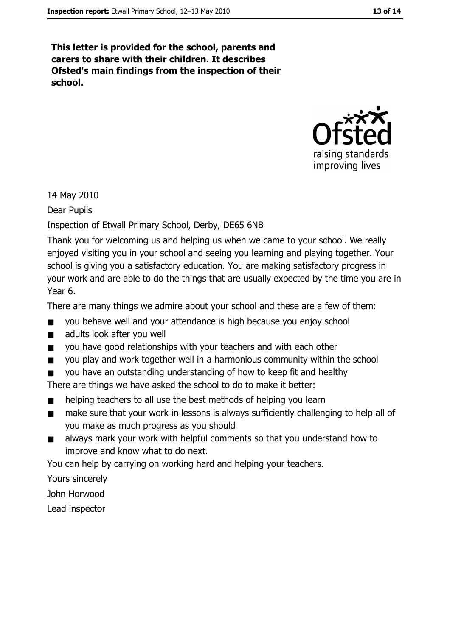This letter is provided for the school, parents and carers to share with their children. It describes Ofsted's main findings from the inspection of their school.



14 May 2010

Dear Pupils

#### Inspection of Etwall Primary School, Derby, DE65 6NB

Thank you for welcoming us and helping us when we came to your school. We really enjoyed visiting you in your school and seeing you learning and playing together. Your school is giving you a satisfactory education. You are making satisfactory progress in your work and are able to do the things that are usually expected by the time you are in Year 6.

There are many things we admire about your school and these are a few of them:

- you behave well and your attendance is high because you enjoy school  $\blacksquare$
- $\blacksquare$ adults look after you well
- you have good relationships with your teachers and with each other  $\blacksquare$
- you play and work together well in a harmonious community within the school  $\blacksquare$
- you have an outstanding understanding of how to keep fit and healthy

There are things we have asked the school to do to make it better:

- helping teachers to all use the best methods of helping you learn  $\blacksquare$
- make sure that your work in lessons is always sufficiently challenging to help all of  $\blacksquare$ you make as much progress as you should
- always mark your work with helpful comments so that you understand how to  $\blacksquare$ improve and know what to do next.

You can help by carrying on working hard and helping your teachers.

Yours sincerely

John Horwood

Lead inspector